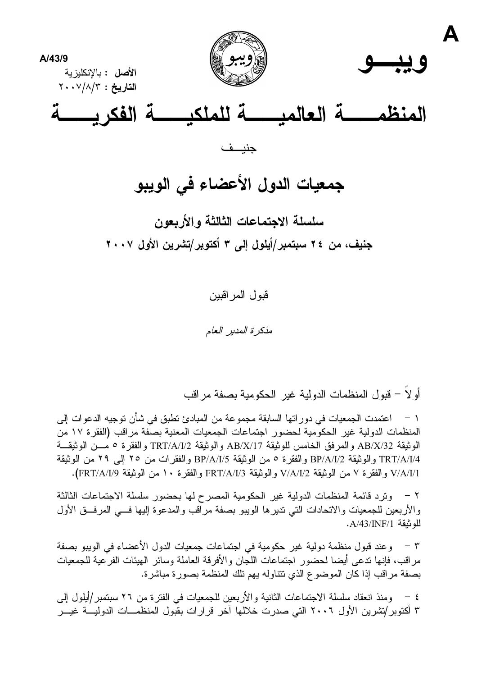

# جمعيات الدول الأعضاء في الويبو

سلسلة الاجتماعات الثالثة والأربعون جنيف، من ٢٤ سبتمبر/أيلول إلى ٣ أكتوبر/تشرين الأول ٢٠٠٧

قبو ل المر اقبين

مذكرة المدبر العامر

أو لاً – قبول المنظمات الدولية غير الحكومية بصفة مراقب

اعتمدت الجمعيات في دور اتها السابقة مجموعة من المبادئ تطبق في شأن توجيه الدعوات إلى المنظمات الدولية غير الحكومية لحضور اجتماعات الجمعيات المعنية بصفة مراقب (الفقرة ١٧ من الو ثبقة AB/X/32 و المر فق الخامس للو ثبقة AB/X/17 و الو ثبقة TRT/A/I/2 و الفقر ة 0 مـــن الو ثبقـــة TRT/A/I/4 والوثيقة BP/A/I/2 والفقرة 0 من الوثيقة BP/A/I/5 والفقرات من ٢٥ إلى ٢٩ من الوثيقة V/A/I/1 و الفقر ة ٧ من الوثيقة V/A/I/2 و الوثيقة FRT/A/I/3 و الفقر ة ١٠ من الوثيقة FRT/A/I/9).

٢ – وترد قائمة المنظمات الدولية غير الحكومية المصر ح لها بحضور سلسلة الاجتماعات الثالثة والأربعين للجمعيات والاتحادات التبي نديرها الويبو بصفة مراقب والمدعوة إليها فسي المرفسق الأول للو ثبقة A/43/INF/1.

٣ – وعند قبول منظمة دولية غير حكومية في اجتماعات جمعيات الدول الأعضاء في الويبو بصفة مر اقب، فإنها ندعى أيضا لحضور اجتماعات اللجان و الأفر قة العاملة وسائر الهيئات الفر عية للجمعيات بصفة مراقب إذا كان الموضوع الذي تتناوله يهم تلك المنظمة بصورة مباشرة.

٤ – ومنذ انعقاد سلسلة الاجتماعات الثانية والأربعين للجمعيات في الفتر ة من ٢٦ سبتمبر/أيلول إلى ۳ أكتوبر/تشرين الأول ٢٠٠٦ التي صدرت خلالها آخر قرارات بقبول المنظمــات الدوليـــة غيـــر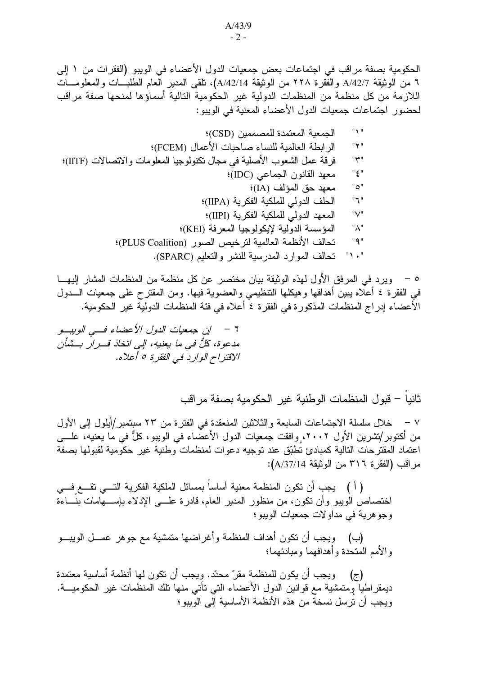الحكومية بصفة مراقب في اجتماعات بعض جمعيات الدول الأعضاء في الويبو (الفقرات من ١ إلى ٦ من الوثيقة A/42/7 والفقر ة ٢٢٨ من الوثيقة A/42/14)، تلقى المدير العام الطلبــات والمعلومـــات اللازمة من كل منظمة من المنظمات الدولية غير الحكومية التالية أسماؤها لمنحها صفة مراقب لحضور اجتماعات جمعيات الدول الأعضاء المعنية في الويبو :

٥ – ويرد في المرفق الأول لهذه الوثيقة بيان مختصر عن كل منظمة من المنظمات المشار إليهـــا في الفقرة ٤ أعلاه يبين أهدافها وهيكلها النتظيمي والعضوية فيها. ومن المقترح على جمعيات الـــدول الأعضاء إدراج المنظمات المذكورة في الفقرة ٤ أعلاه في فئة المنظمات الدولية غير الحكومية.

مدعوة، كلُّ في ما يعنيه، إلى اتخاذ قــرار بــشأن الاقتراح الوارد في الفقرة ٥ أعلاه.

ثانيا – قبول المنظمات الوطنية غير الحكومية بصفة مر اقب

خلال سلسلة الاجتماعات السابعة والثلاثين المنعقدة في الفترة من ٢٣ سبتمبر/أيلول إلى الأول  $\vee$ من أكتوبر/تشرين الأول ٢٠٠٢، وافقت جمعيات الدول الأعضاء في الويبو، كلٌّ في ما يعنيه، علـــي اعتماد المقترحات التالية كمبادئ تطبّق عند توجيه دعوات لمنظمات وطنية غير حكومية لقبولها بصفة مراقب (الفقر ة ٣١٦ من الوثيقة A/37/14):

( أ ) بجب أن نكون المنظمة معنية أساسا بمسائل الملكية الفكرية التـــي تقـــع فـــي اختصاص الويبو وأن نكون، من منظور المدير العام، قادرة علــــى الإدلاء بإســــهامات بنّـــاءة وجو هر ٻة في مداو لات جمعيات الوبيو ؛

(ب) ويجب أن تكون أهداف المنظمة وأغراضها متمشية مع جوهر عمـــل الويبـــو والأمم المتحدة وأهدافهما ومبادئهما؛

(ج) ويجب أن يكون للمنظمة مقرّ محدّد. ويجب أن تكون لمها أنظمة أساسية معتمدة ديمقراطيا وِمتمشية مع قوانين الدول الأعضاء التي تأتي منها تلك المنظمات غير الحكوميـــة. ويجب أن ترسل نسخة من هذه الأنظمة الأساسية إلى الويبو ؛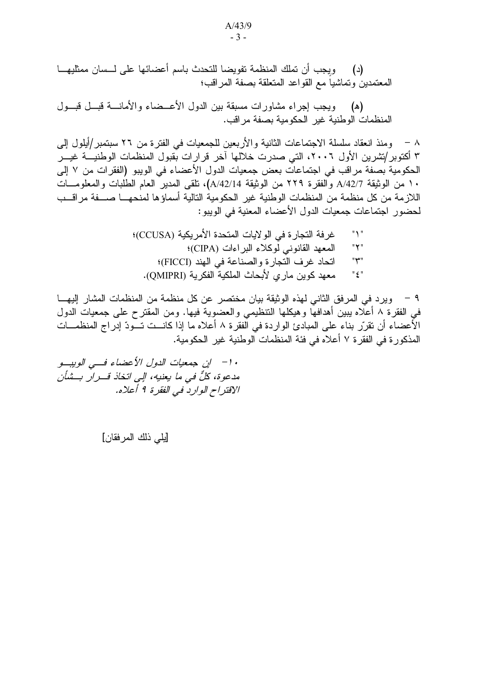(د) ويجب أن تملك المنظمة تفويضا للتحدث باسم أعضائها على لـــسان ممثليهـــا المعتمدين وتماشيا مع القواعد المتعلقة بصفة المر اقب؛

(ه) ويجب إجراء مشاورات مسبقة بين الدول الأعــضاء والأمانــــة قبـــل قبـــول المنظمات الوطنية غير الحكومية بصفة مراقب.

٨ – ومنذ انعقاد سلسلة الاجتماعات الثانية والأربعين للجمعيات في الفترة من ٢٦ سبتمبر/أيلول إلى ۳ أكتوبر/تشرين الأول ٢٠٠٦، التي صدرت خلالها آخر قرارات بقبول المنظمات الوطنيـــة غيـــر الحكومية بصفة مراقب في اجتماعات بعض جمعيات الدول الأعضاء في الويبو (الفقرات من ٧ إلى ١٠ من الوثيقة A/42/7 والفقرة ٢٢٩ من الوثيقة A/42/14)، تلقى المدير العام الطلبات والمعلومــات اللازمة من كل منظمة من المنظمات الوطنية غير الحكومية النالية أسماؤها لمنحهــا صـــفة مراقــب لحضور اجتماعات جمعيات الدول الأعضاء المعنية في الويبو:

٩ – ويرد في المرفق الثاني لهذه الوثيقة بيان مختصر عن كل منظمة من المنظمات المشار إليهـــا في الفقرة ٨ أعلاه يبين أهدافها وهيكلها التنظيمي والعضوية فيها. ومن المقترح على جمعيات الدول الأعضاء أن نقرِّر بناء على المبادئ الواردة في الفقرة ٨ أعلاه ما إذا كانــت تــودّ إدراج المنظمـــات المذكور ة في الفقر ة ٧ أعلاه في فئة المنظمات الوطنية غير الحكومية.

· ١- إن جمعيات الدول الأعضاء فـــى الويبــو مدعوة، كلٌّ في ما يعنيه، إلى اتخاذ قــرار بــشأن الإقتراح الوارد في الفقر ة 1 أعلاه.

[يلي ذلك المرفقان]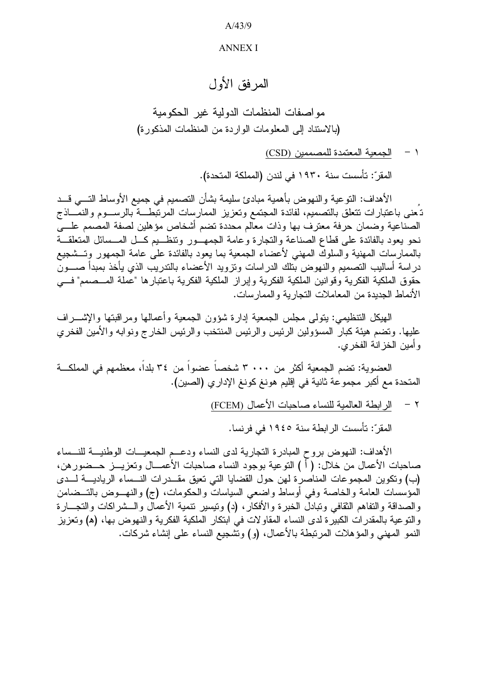$A/43/9$ 

## **ANNEX I**

# المر فق الأول

مواصفات المنظمات الدولية غير الحكومية (بالاستناد إلى المعلومات الواردة من المنظمات المذكورة)

1 - الجمعية المعتمدة للمصممين (CSD)

المقر ّ: تأسست سنة ١٩٣٠ في لندن (المملكة المتحدة).

الأهداف: النوعية والنهوض بأهمية مبادئ سليمة بشأن التصميم في جميع الأوساط التـــي قـــد تـُعنـى بـاعتبارات نتعلق بـالتصميم، لفائدة المـجتمع وتعزيز الممارسات المرتبَّطـــة بالرســـوم والنمَّـــاذج الصناعية وضمان حرفة معترف بها وذات معالم محددة تضم أشخاص مؤهلين لصفة المصمم علبى نحو يعود بالفائدة على قطاع الصناعة والتجارة وعامة الجمهـور وتنظـيم كــل المــسائل المتعلقــة بالممارسات المهنية والسلوك المهنى لأعضاء الجمعية بما يعود بالفائدة على عامة الجمهور وتسشجيع در اسة أساليب التصميم والنهوض بتلك الدر اسات وتزويد الأعضاء بالندريب الذي يأخذ بمبدأ صــــون حقوق الملكية الفكرية وقوانين الملكية الفكرية وإبراز الملكية الفكرية باعتبارها "عملة المسصمم" فسي الأنماط الجدبدة من المعاملات النجار بة و الممار سات.

الهيكل التنظيمي: يتولَّى مجلس الجمعية إدارة شؤون الجمعية وأعمالها ومراقبتها والإشــــراف عليها. ونضم هيئة كبار المسؤولين الرئيس والرئيس المنتخب والرئيس الخارج ونوابه والأمين الفخرى و أمين الخز انة الفخر ي.

العضوية: تضم الجمعية أكثر من ٣٠٠ ، ٣ شخصاً عضواً من ٣٤ بلداً، معظمهم في المملكـــة المتحدة مع أكبر مجموعة ثانية في إقليم هونغ كونغ الإداري (الصين).

> الر ابطة العالمية للنساء صاحبات الأعمال (FCEM)  $-7$

المقرّ: تأسست الرابطة سنة ١٩٤٥ في فرنسا.

الأهداف: النهوض بروح المبادرة النجارية لدى النساء ودعــم الجمعيـــات الوطنيـــة للنـــساء صاحبات الأعمال من خلال: ( أ ) النوعية بوجود النساء صاحبات الأعمـــال وتعزيـــز حـــضور هن، (ب) وتكوين المجموعات المناصرة لهن حول القضايا التي تعيق مقــدرات النــساء الرياديـــة لــدى المؤسسات العامة والخاصة وفي أوساط واضعى السياسات والحكومات، (ج) والنهــوض بالتــضامن والصداقة والنفاهم الثقافي ونبادل الخبرة والأفكار ، (د) ونيسير نتمية الأعمال والـــشراكات والنجـــارة والنوعية بالمقدرات الكبيرة لدى النساء المقاولات في ابتكار الملكية الفكرية والنهوض بها، (ﻫ) وتعزيز النمو المهنِّي والمؤهلات المرتبطة بالأعمال، (و) وتشجيع النساء على إنشاء شركات.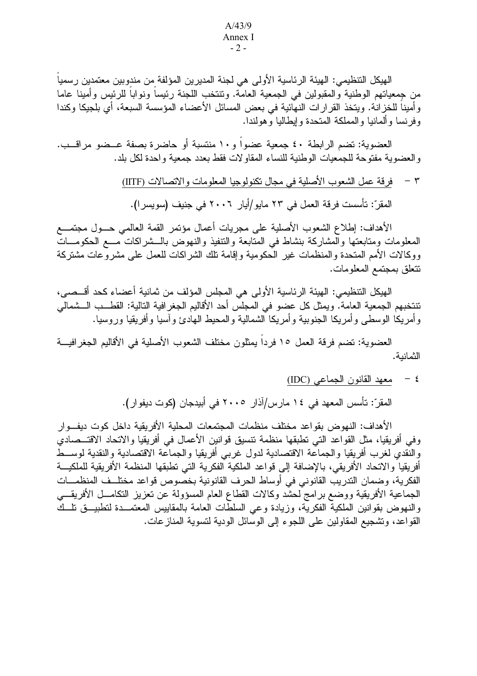#### $A/43/9$ Annex I  $-2-$

الهيكل التنظيمي: الهيئة الرئاسية الأولى هي لجنة المديرين المؤلفة من مندوبين معتمدين رسمياً من جمعياتهم الوطنية والمقبولين في الجمعية العامة. وتتتخب اللجنة رئيساً ونواباً للرئيس وأمينا عاما وأمينا للخزانة. ويتخذ القرارات النهائية في بعض المسائل الأعضاء المؤسسة السبعة، أي بلجيكا وكندا وفر نسا وألمانيا والمملكة المتحدة وإيطاليا وهولندا.

العضوية: تضم الرابطة ٤٠ جمعية عضواً و ١٠ منتسبة أو حاضر ة بصفة عــضو مراقــب. و العضوبة مفتوحة للجمعيات الوطنية للنساء المقاولات فقط بعدد جمعية و احدة لكل بلد.

> فرقة عمل الشعوب الأصلية في مجال تكنولوجيا المعلومات والاتصالات (IITF)  $\tau$

المقرّ: تأسست فرقة العمل في ٢٣ مايو/أيار ٢٠٠٦ في جنيف (سويسرا).

الأهداف: إطلاع الشعوب الأصلية على مجريات أعمال مؤتمر القمة العالمي حــول مجتمـــع المعلومات ومتابعتها والمشاركة بنشاط فبي المتابعة والتنفيذ والنهوض بالسشراكات مسع الحكومسات ووكالات الأمم المتحدة والمنظمات غير الحكومية وإقامة نلك الشراكات للعمل على مشروعات مشتركة نتعلق بمجتمع المعلومات.

الهيكل التنظيمي: الهيئة الرئاسية الأولى هي المجلس المؤلف من ثمانية أعضاء كحد أقـــصـي، تتنخبهم الجمعية العامة. ويمثل كل عضو في المجلس أحد الأقاليم الجغر افية التالية: القطــب الـــشمالي وأمريكا الوسطى وأمريكا الجنوبية وأمريكا الشمالية والمحيط الهادئ وآسيا وأفريقيا وروسيا.

العضوية: تضم فرقة العمل ١٥ فردا يمثلون مختلف الشعوب الأصلية في الأقاليم الجغرافيـــة الثمانية.

# ٤ - معهد القانون الجماعي (IDC)

المقرّ: تأسس المعهد في ١٤ مارس/آذار ٢٠٠٥ في أبيدجان (كوت ديفوار).

الأهداف: النهوض بقواعد مختلف منظمات المجتمعات المحلية الأفريقية داخل كوت ديف وار وفي أفريقيا، مثل القواعد التي تطبقها منظمة تتسيق قوانين الأعمال في أفريقيا والاتحاد الاقتـــصادي والنقدي لغرب أفريقيا والجماعة الاقتصادية لدول غربى أفريقيا والجماعة الاقتصادية والنقدية لوسط أفريقيا والاتحاد الأفريقي، بالإضافة إلى قواعد الملكية الفكرية التي تطبقها المنظمة الأفريقية للملكيـــة الفكرية، وضمان الندريب القانوني في أوساط الحرف القانونية بخصوص قواعد مختلف المنظمـــات الجماعية الأفريقية ووضع برامج لحشد وكالات القطاع العام المسؤولة عن تعزيز التكامـــل الأفريقــــي والنهوض بقوانين الملكية الفكريَّة، وزيادة وعي السلطَّات العامة بالمقاييس المعتمــدة لتطبيـــق نلـــكَ القواعد، وتشجيع المقاولين على اللجوء إلى الوسائل الودية لتسوية المنازعات.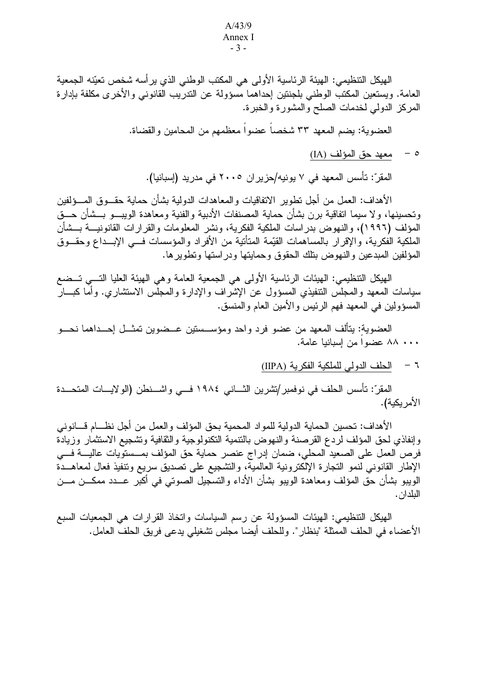#### $A/43/9$ Annex I  $-3-$

الهيكل التنظيمي: الهيئة الرئاسية الأولى هي المكتب الوطني الذي يرأسه شخص تعيّنه الجمعية العامة. ويستعين المكتب الوطني بلجنتين إحداهما مسؤولة عن الندريب القانوني والأخرى مكلفة بإدارة المركز الدولمي لخدمات الصلح والمشورة والخبرة.

العضوية: يضم المعهد ٣٣ شخصاً عضواً معظمهم من المحامين والقضاة.

معهد حق المؤلف (IA)  $-$  0

المقرّ: تأسس المعهد في ٧ يونيه/حزير ان ٢٠٠٥ في مدريد (إسبانيا).

الأهداف: العمل من أجل نطوير الانفاقيات والمعاهدات الدولية بشأن حماية حقـــوق المــــؤلفين وتحسينها، ولا سيما اتفاقية برن بشأن حماية المصنفات الأدبية والفنية ومعاهدة الويبسو بسشأن حسق المؤلف (١٩٩٦)، والنهوض بدر اسات الملكية الفكرية، ونشر المعلومات والقرارات القانونيـــة بـــشأن الملكية الفكرية، واﻹقر ار بالمساهمات القيِّمة المتأنية من اﻷفر اد والمؤسسات فـــي اﻹبـــداع وحقـــوق المؤلفين المبدعين والنهوض بتلك الحقوق وحمايتها ودراستها وتطويرها.

الهيكل التنظيمي: الهيئات الرئاسية الأولى هي الجمعية العامة وهي الهيئة العليا التـــي تـــضع سياسات المعهد والمجلس التنفيذي المسؤول عن الإشراف والإدارة والمجلس الاستشارى. وأما كبسار المسؤولين في المعهد فهم الرئيس والأمين العام والمنسق.

العضوية: يتألف المعهد من عضو فرد واحد ومؤســستين عــضوين تمثــل إحــداهما نحـــو ٨٠٠ ٨٨ عضوا من إسبانيا عامة.

٦ – الحلف الدولي للملكية الفكرية (IIPA)

المقرّ: تأسس الحلف في نوفمبر/تشرين الثـــاني ١٩٨٤ فـــي واشـــنطن (الولايــــات المتحـــدة الأمر يكية).

الأهداف: تحسين الحماية الدولية للمواد المحمية بحق المؤلف والعمل من أجل نظـــام قــــانونـي وإنفاذي لحق المؤلف لردع القرصنة والنهوض بالنتمية النكنولوجية والثقافية وتشجيع الاستثمار وزيادة فرص العمل على الصعيد المحلي، ضمان إدراج عنصر حماية حق المؤلف بمــستويات عاليـــة فـــي الإطار القانوني لنمو التجارة الإلكترونية العالمية، والتشجيع على تصديق سريع وتنفيذ فعال لمعاهــدة الويبو بشأن حق المؤلف ومعاهدة الويبو بشأن الأداء والتسجيل الصوتي في أكبر عـــدد ممكـــن مـــن البلدان.

الهيكل التنظيمي: الهيئات المسؤولة عن رسم السياسات واتخاذ القرارات هي الجمعيات السبع الأعضاء في الحلف الممثلة "بنظار ". وللحلف أيضا مجلس تشغيلي يدعى فريق الحلف العامل.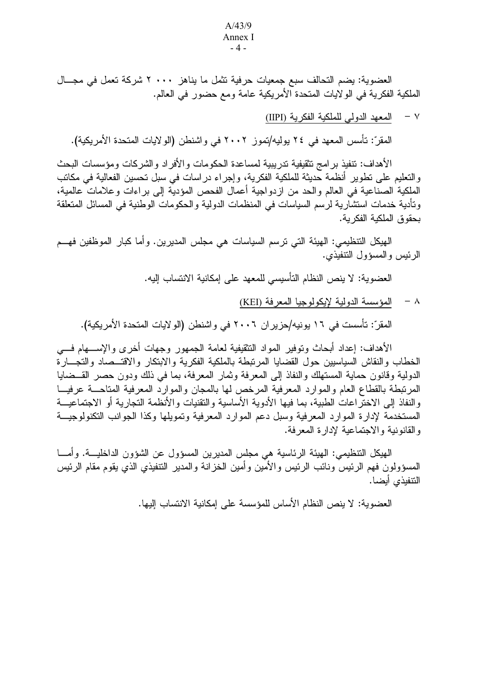#### $A/43/9$ Annex I  $-4-$

العضوية: يضم التحالف سبع جمعيات حرفية تثمل ما يناهز ٢٠٠٠ شركة تعمل في مجـــال الملكية الفكرية في الو لايات المتحدة الأمريكية عامة ومع حضور في العالم.

> المعهد الدولي للملكية الفكرية (IIPI)  $\vee$

المقرّ: تأسس المعهد في ٢٤ يوليه/تموز ٢٠٠٢ في واشنطن (الولايات المتحدة الأمريكية).

الأهداف: تنفيذ بر امج تثقيفية تدر ببية لمساعدة الحكومات و الأفر اد و الشر كات ومؤسسات البحث والتعليم على نطوير أنظمة حديثة للملكية الفكرية، وإجراء دراسات في سبل نحسين الفعالية في مكانب الملكية الصناعية في العالم والحد من ازدواجية أعمال الفحص المؤدية إلى براءات وعلامات عالمية، وتأدية خدمات استشارية لرسم السياسات في المنظمات الدولية والحكومات الوطنية في المسائل المتعلقة بحقوق الملكبة الفكر بة.

الهيكل التنظيمي: الهيئة التي ترسم السياسات هي مجلس المديرين. وأما كبار الموظفين فهـــم الرئيس والمسؤول التنفيذي.

العضوية: لا ينص النظام التأسيسي للمعهد على إمكانية الانتساب إليه.

٨ - المؤسسة الدولية لإيكولوجيا المعرفة (KEI)

المقرّ: تأسست في ١٦ يونيه/حزير ان ٢٠٠٦ في واشنطن (الولايات المتحدة الأمريكية).

الأهداف: إعداد أبحاث وتوفير المواد التثقيفية لعامة الجمهور وجهات أخرى والإســـهام فــــى الخطاب والنقاش السياسيين حول القضايا المرتبطة بالملكية الفكرية والابتكار والاقتــصاد والتجـــارة الدولية وقانون حماية المستهلك والنفاذ إلى المعرفة وثمار المعرفة، بما في ذلك ودون حصر القـــضايا المرتبطة بالقطاع العام والموارد المعرفية المرخص لها بالمجان والموارد المعرفية المتاحسة عرفيسا و النفاذ إلى الاختر اعات الطبية، بما فيها الأدوية الأساسية و التقنيات و الأنظمة التجار ية أو الاجتماعيـــة المستخدمة لإدارة الموارد المعرفية وسبل دعم الموارد المعرفية وتمويلها وكذا الجوانب التكنولوجيـــة و القانونية و الاجتماعية لإدار ة المعرفة.

الهيكل التنظيمي: الهيئة الرئاسية هي مجلس المديرين المسؤول عن الشؤون الداخليــــة. وأمــــا المسؤولون فهم الرئيس ونائب الرئيس والأمين وأمين الخزانة والمدير التنفيذي الذي يقوم مقام الرئيس التنفيذي أبضا.

العضوية: لا ينص النظام الأساس للمؤسسة على إمكانية الانتساب إليها.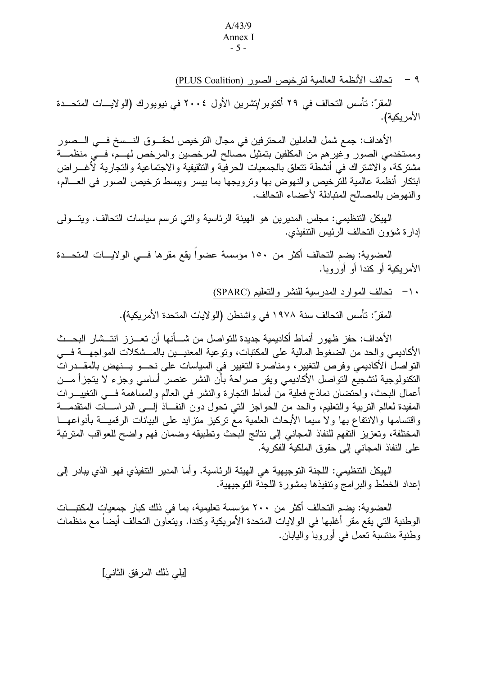#### $A/43/9$ Annex I  $-5-$

٩ – تحالف الأنظمة العالمية لترخيص الصور (PLUS Coalition)

المقرّ: تأسس التحالف في ٢٩ أكتوبر /تشرين الأول ٢٠٠٤ في نيويورك (الولايسات المتحــدة الأمريكية).

الأهداف: جمع شمل العاملين المحترفين في مجال الترخيص لحقـــوق النـــسخ فـــي الـــصور ومستخدمي الصور وغيرهم من المكلفين بتمثيل مصالح المرخصين والمرخص لهـم، فـــي منظمـــة مشتركة، والاشتراك في أنشطة تتعلق بالجمعيات الحرفيَّة والتثقيفية والاجتماعية والتجارية لأغـــراض ابتكار أنظمة عالمية للترخيص والنهوض بها ونرويجها بما بيسر ويبسط نرخيص الصور في العسالم، والنهوض بالمصالح المتبادلة لأعضاء التحالف.

الهيكل التنظيمي: مجلس المديرين هو الهيئة الرئاسية والتي نرسم سياسات التحالف. ويتسولى إدار ة شؤون التحالف الرئيس التنفيذي.

العضوية: يضم التحالف أكثر من ١٥٠ مؤسسة عضوا يقع مقر ها فـــى الولايــــات المتحـــدة الأمر بكنة أو كندا أو أوروبا.

· ١- تحالف الموارد المدرسية للنشرِ والتعليم (SPARC)

المقرّ: تأسس التحالف سنة ١٩٧٨ في واشنطن (الولايات المتحدة الأمريكية).

الأهداف: حفز ظهور أنماط أكاديمية جديدة للتو اصل من شـــأنها أن تعـــز ز انتـــشار البحـــث الأكاديمي والحد من الضغوط المالية على المكتبات، وتوعية المعنيـــين بالمـــشكلات المواجهـــة فــــي التواصل الأكاديمي وفرص التغيير، ومناصرة التغيير في السياسات على نحـــو يـــنهض بالمقـــدراتٌ النكنولوجية لتشجيع التواصل الأكاديمي ويقر صراحة بأن النشر عنصر أساسى وجزء لا يتجزأ مـــن أعمال البحث، واحْتضان نماذج فعلية مْن أنماط النجارة والنشر في العالم والمسَّاهمة فـــي النغييـــرات المفيدة لعالم النربية والنعليم، والحد من الحواجز التي نحول دون النفاذ إلـــي الدراســات المتقدمـــة واقتسامها والانتفاع بها ولا سيما الأبحاث العلمية مع تركيز متزايد على البيانات الرقميـــة بأنواعهـــا المختلفة، وتعزيز التفهم للنفاذ المجانبي إلى نتائج البحث وتطبيقه وضمان فهم واضح للعواقب المترتبة على النفاذ المجاني إلى حقوق الملكية الفكرية.

الهيكل التنظيمي: اللجنة التوجيهية هي الهيئة الرئاسية. وأما المدير التنفيذي فهو الذي يبادر إلى إعداد الخطط والبرامج ونتفيذها بمشورة اللجنة التوجيهية.

العضوية: يضم التحالف أكثر من ٢٠٠ مؤسسة تعليمية، بما في ذلك كبار جمعيات المكتبــات الوطنية التي يقع مقر أغلبها في الولايات المتحدة الأمريكية وكندا. ويتعاون التحالف أيضاً مع منظمات وطنية منتسبة تعمل في أوروبا واليابان.

[يلي ذلك المرفق الثاني]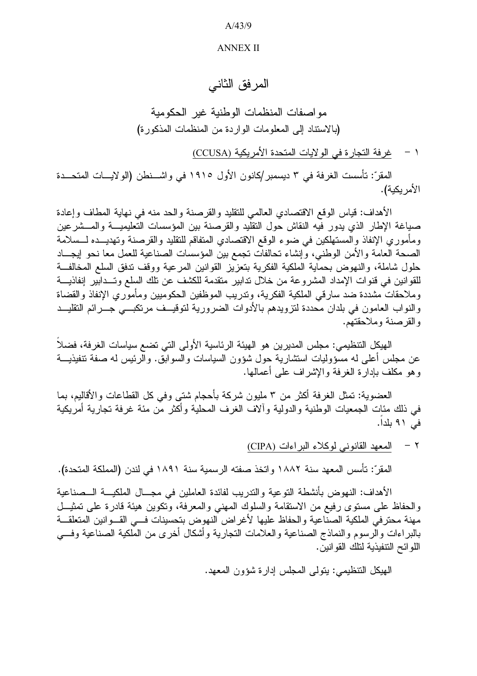$A/43/9$ 

## **ANNEX II**

المر فق الثاني

مواصفات المنظمات الوطنية غير الحكومية (بالاستناد إلى المعلومات الواردة من المنظمات المذكورة)

١ - غرفة التجارة في الولايات المتحدة الأمريكية (CCUSA)

المقرّ: تأسست الغرفة في ٣ ديسمبر/كانون الأول ١٩١٥ في واشـــنطن (الولايـــات المتحـــدة الأمر بكية).

الأهداف: قياس الوقع الاقتصادي العالمي للتقليد والقرصنة والحد منه في نهاية المطاف وإعادة صباغة الإطار الذي يدور فيه النقاش حول النقليد والقرصنة بين المؤسسات التعليميـــة والمـــشرعين ومأموري الإنفاذ والمستهلكين في ضوء الوقع الاقتصادي المتفاقم للتقليد والقرصنة وتهديــده لـــسلامة الصحة العامة والأمن الوطني، وإنشاء تحالفات تجمع بين المؤسسات الصناعية للعمل معا نحو إيجـــاد حلول شاملة، والنهوض بحماية الملكية الفكرية بتعزيز القوانين المرعية ووقف تدفق السلع المخالفة للقوانين في قنوات الإمداد المشروعة من خلال تدابير متقدمة للكشف عن تلك السلع وتــدابير إنفاذيـــة وملاحقات مشددة ضد سارقي الملكية الفكرية، وتدريب الموظفين الحكوميين ومأموري الإنفاذ والقضاة والنواب العامون في بلدان محددة لنزويدهم بالأدوات الضرورية لتوقيــف مرتكبـــي جـــرائم النقليـــد والقرصنة وملاحقتهم.

الهيكل التنظيمي: مجلس المديرين هو الهيئة الرئاسية الأولى التي نضع سياسات الغرفة، فضلاً عن مجلس أعلى له مسؤوليات استشارية حول شؤون السياسات والسوابق. والرئيس له صفة تنفيذيـــة وهو مكلف بإدارة الغرفة والإشراف على أعمالها.

العضوية: تمثَّل الغرفة أكثر من ٣ مليون شركة بأحجام شتى وفي كل القطاعات والأقاليم، بما في ذلك مئات الجمعيات الوطنية والدولية وألاف الغرف المحلية وأكثر من مئة غرفة تجارية أمريكية في ٩١ بلداً.

٢ - المعهد القانوني لوكلاء البراءات (CIPA)

المقرِّ: تأسس المعهد سنة ١٨٨٢ واتخذ صفته الرسمية سنة ١٨٩١ في لندن (المملكة المتحدة).

الأهداف: النهوض بأنشطة التوعية والتدريب لفائدة العاملين في مجـــال الملكيـــة الـــصناعية والحفاظ على مستوى رفيع من الاستقامة والسلوك المهنى والمعرفة، وتكوين هيئة قادرة على تمثيــل مهنة محترفي الملكية الصناعية والحفاظ عليها لأغراض النهوض بتحسينات فسى القسوانين المتعلقـــة بالبراءات والرسوم والنماذج الصناعية والعلامات التجارية وأشكال أخرى من الملكية الصناعية وفسى اللوائح التنفيذية لتلك القوانين.

الهيكل التنظيمي: يتولَّى المجلس إدارة شؤون المعهد.